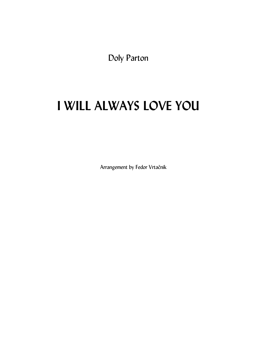Doly Parton

## I WILL ALWAYS LOVE YOU

Arrangement by Fedor Vrtačnik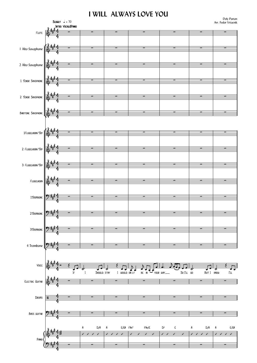## **I WILL ALWAYS LOVE YOU**

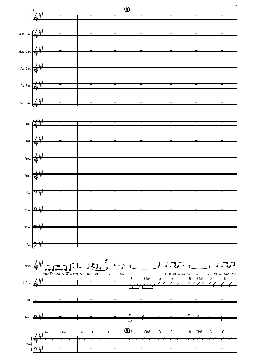

 $\mathsf{3}$